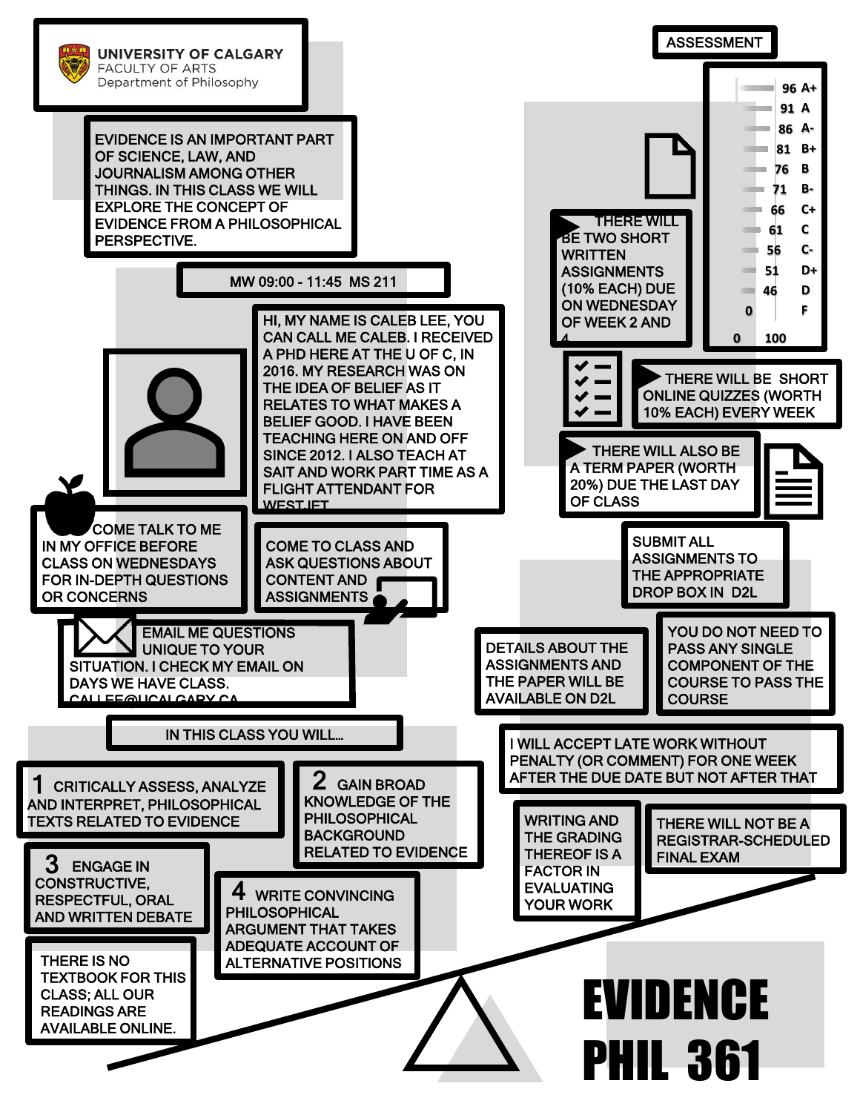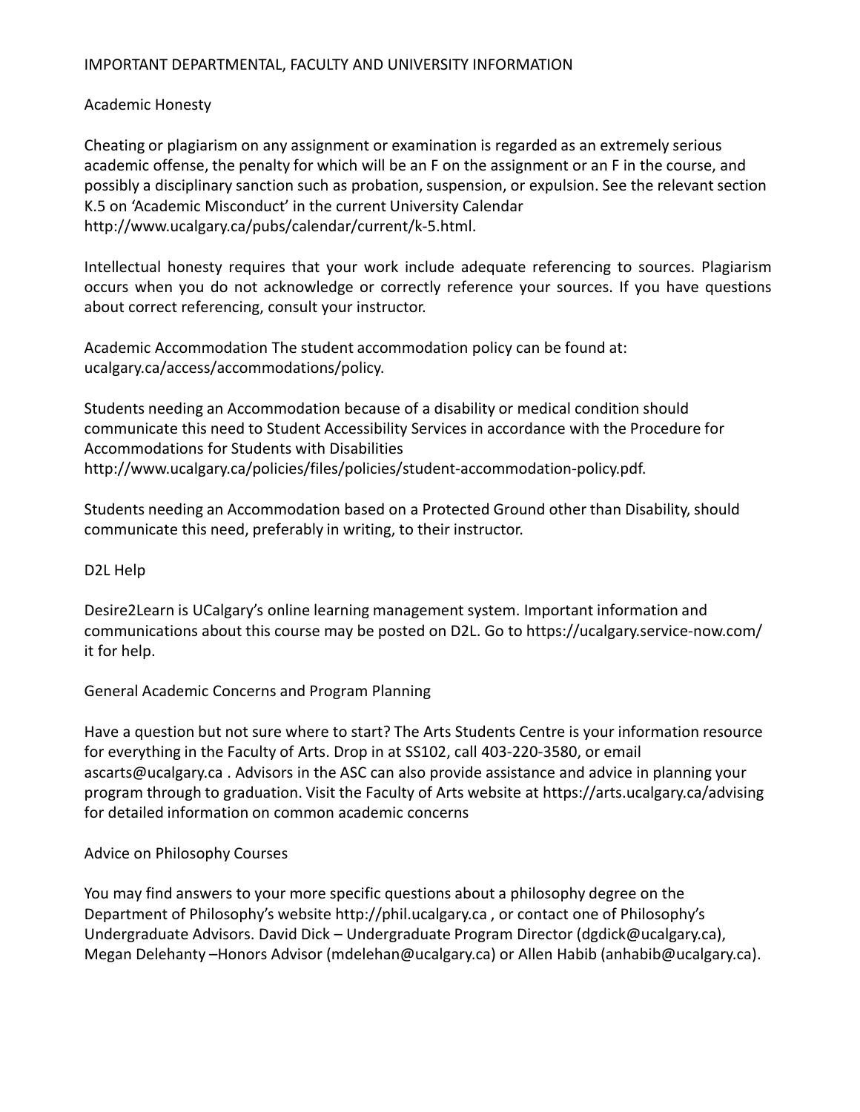#### IMPORTANT DEPARTMENTAL, FACULTY AND UNIVERSITY INFORMATION

#### Academic Honesty

Cheating or plagiarism on any assignment or examination is regarded as an extremely serious academic offense, the penalty for which will be an F on the assignment or an F in the course, and possibly a disciplinary sanction such as probation, suspension, or expulsion. See the relevant section K.5 on 'Academic Misconduct' in the current University Calendar http://www.ucalgary.ca/pubs/calendar/current/k-5.html.

Intellectual honesty requires that your work include adequate referencing to sources. Plagiarism occurs when you do not acknowledge or correctly reference your sources. If you have questions about correct referencing, consult your instructor.

Academic Accommodation The student accommodation policy can be found at: ucalgary.ca/access/accommodations/policy.

Students needing an Accommodation because of a disability or medical condition should communicate this need to Student Accessibility Services in accordance with the Procedure for Accommodations for Students with Disabilities http://www.ucalgary.ca/policies/files/policies/student-accommodation-policy.pdf.

Students needing an Accommodation based on a Protected Ground other than Disability, should communicate this need, preferably in writing, to their instructor.

#### D2L Help

Desire2Learn is UCalgary's online learning management system. Important information and communications about this course may be posted on D2L. Go to https://ucalgary.service-now.com/ it for help.

# General Academic Concerns and Program Planning

Have a question but not sure where to start? The Arts Students Centre is your information resource for everything in the Faculty of Arts. Drop in at SS102, call 403-220-3580, or email ascarts@ucalgary.ca . Advisors in the ASC can also provide assistance and advice in planning your program through to graduation. Visit the Faculty of Arts website at https://arts.ucalgary.ca/advising for detailed information on common academic concerns

#### Advice on Philosophy Courses

You may find answers to your more specific questions about a philosophy degree on the Department of Philosophy's website http://phil.ucalgary.ca , or contact one of Philosophy's Undergraduate Advisors. David Dick – Undergraduate Program Director (dgdick@ucalgary.ca), Megan Delehanty –Honors Advisor (mdelehan@ucalgary.ca) or Allen Habib (anhabib@ucalgary.ca).